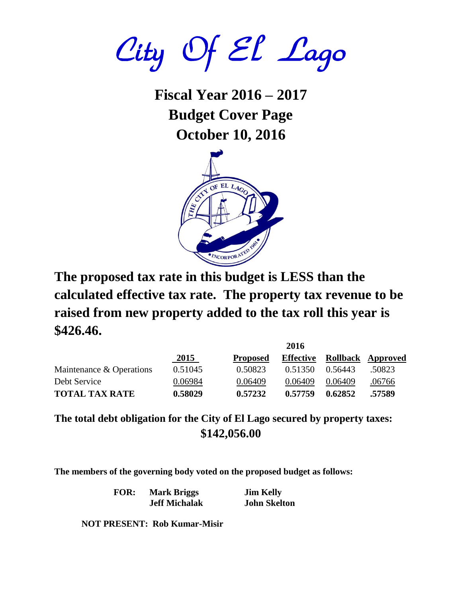City Of El Lago

**Fiscal Year 2016 – 2017 Budget Cover Page October 10, 2016**



**The proposed tax rate in this budget is LESS than the calculated effective tax rate. The property tax revenue to be raised from new property added to the tax roll this year is \$426.46.**

|                          | 2010    |                 |                  |                   |        |
|--------------------------|---------|-----------------|------------------|-------------------|--------|
|                          | 2015    | <b>Proposed</b> | <b>Effective</b> | Rollback Approved |        |
| Maintenance & Operations | 0.51045 | 0.50823         | 0.51350          | 0.56443           | .50823 |
| Debt Service             | 0.06984 | 0.06409         | 0.06409          | 0.06409           | .06766 |
| <b>TOTAL TAX RATE</b>    | 0.58029 | 0.57232         | 0.57759          | 0.62852           | .57589 |

**The total debt obligation for the City of El Lago secured by property taxes: \$142,056.00**

**The members of the governing body voted on the proposed budget as follows:**

**FOR: Mark Briggs Jim Kelly Jeff Michalak John Skelton**

**2016**

**NOT PRESENT: Rob Kumar-Misir**